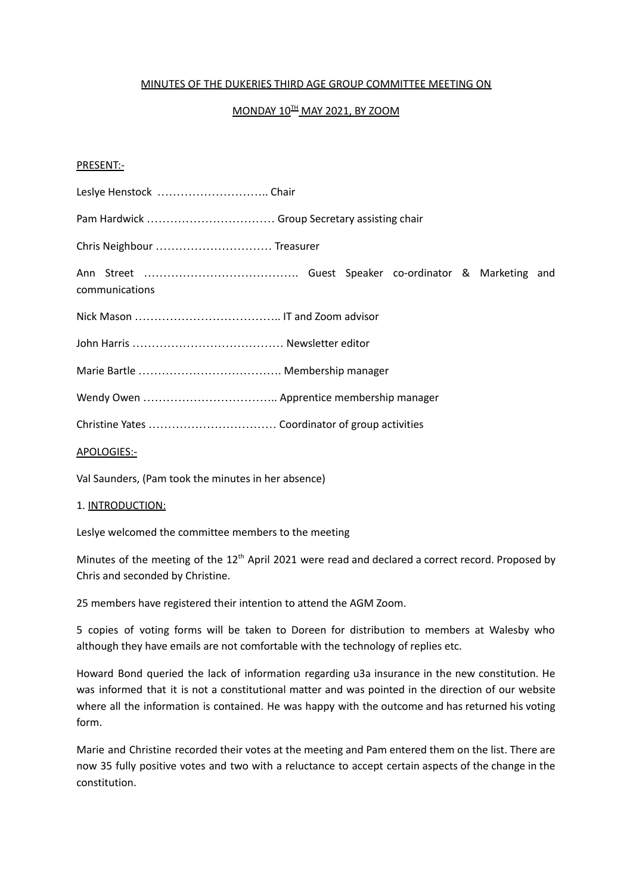#### MINUTES OF THE DUKERIES THIRD AGE GROUP COMMITTEE MEETING ON

# <u>MONDAY 10H MAY 2021, BY ZOOM</u>

#### PRESENT:-

| Leslye Henstock  Chair                        |
|-----------------------------------------------|
| Pam Hardwick  Group Secretary assisting chair |
| Chris Neighbour  Treasurer                    |
| communications                                |
|                                               |
|                                               |
|                                               |
|                                               |
|                                               |
| APOLOGIES:-                                   |

Val Saunders, (Pam took the minutes in her absence)

#### 1. INTRODUCTION:

Leslye welcomed the committee members to the meeting

Minutes of the meeting of the 12<sup>th</sup> April 2021 were read and declared a correct record. Proposed by Chris and seconded by Christine.

25 members have registered their intention to attend the AGM Zoom.

5 copies of voting forms will be taken to Doreen for distribution to members at Walesby who although they have emails are not comfortable with the technology of replies etc.

Howard Bond queried the lack of information regarding u3a insurance in the new constitution. He was informed that it is not a constitutional matter and was pointed in the direction of our website where all the information is contained. He was happy with the outcome and has returned his voting form.

Marie and Christine recorded their votes at the meeting and Pam entered them on the list. There are now 35 fully positive votes and two with a reluctance to accept certain aspects of the change in the constitution.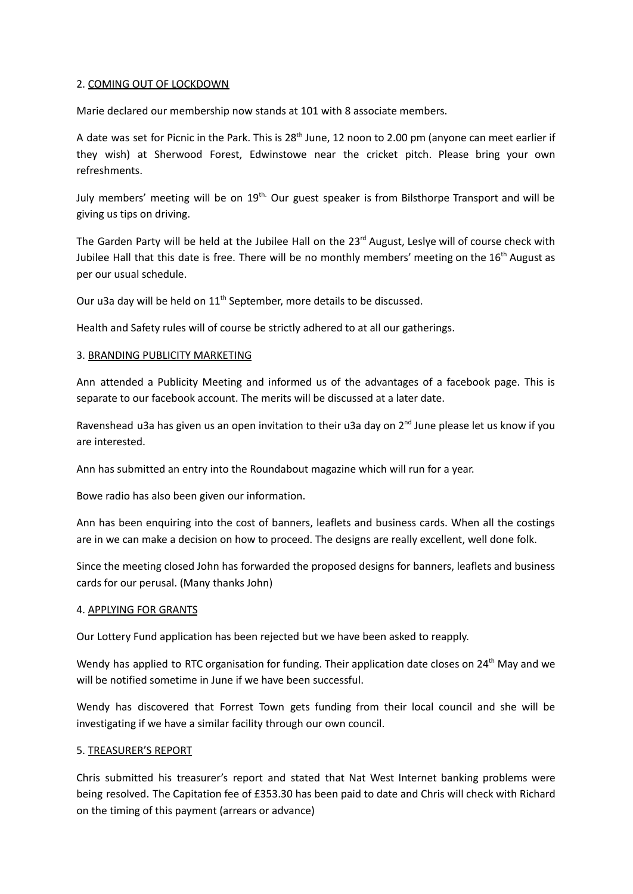#### 2. COMING OUT OF LOCKDOWN

Marie declared our membership now stands at 101 with 8 associate members.

A date was set for Picnic in the Park. This is 28<sup>th</sup> June, 12 noon to 2.00 pm (anyone can meet earlier if they wish) at Sherwood Forest, Edwinstowe near the cricket pitch. Please bring your own refreshments.

July members' meeting will be on 19<sup>th.</sup> Our guest speaker is from Bilsthorpe Transport and will be giving us tips on driving.

The Garden Party will be held at the Jubilee Hall on the 23<sup>rd</sup> August, Leslye will of course check with Jubilee Hall that this date is free. There will be no monthly members' meeting on the 16<sup>th</sup> August as per our usual schedule.

Our u3a day will be held on  $11<sup>th</sup>$  September, more details to be discussed.

Health and Safety rules will of course be strictly adhered to at all our gatherings.

### 3. BRANDING PUBLICITY MARKETING

Ann attended a Publicity Meeting and informed us of the advantages of a facebook page. This is separate to our facebook account. The merits will be discussed at a later date.

Ravenshead u3a has given us an open invitation to their u3a day on 2<sup>nd</sup> June please let us know if you are interested.

Ann has submitted an entry into the Roundabout magazine which will run for a year.

Bowe radio has also been given our information.

Ann has been enquiring into the cost of banners, leaflets and business cards. When all the costings are in we can make a decision on how to proceed. The designs are really excellent, well done folk.

Since the meeting closed John has forwarded the proposed designs for banners, leaflets and business cards for our perusal. (Many thanks John)

#### 4. APPLYING FOR GRANTS

Our Lottery Fund application has been rejected but we have been asked to reapply.

Wendy has applied to RTC organisation for funding. Their application date closes on 24<sup>th</sup> May and we will be notified sometime in June if we have been successful.

Wendy has discovered that Forrest Town gets funding from their local council and she will be investigating if we have a similar facility through our own council.

#### 5. TREASURER'S REPORT

Chris submitted his treasurer's report and stated that Nat West Internet banking problems were being resolved. The Capitation fee of £353.30 has been paid to date and Chris will check with Richard on the timing of this payment (arrears or advance)